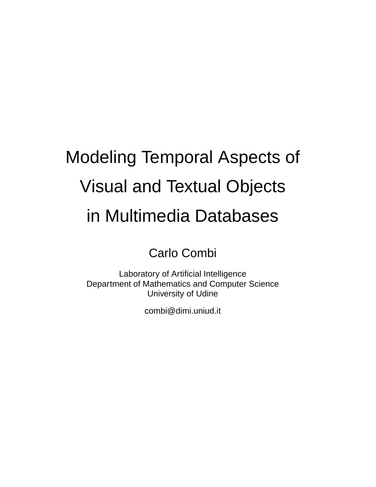# Modeling Temporal Aspects of Visual and Textual Objects in Multimedia Databases

Carlo Combi

Laboratory of Artificial Intelligence Department of Mathematics and Computer Science University of Udine

combi@dimi.uniud.it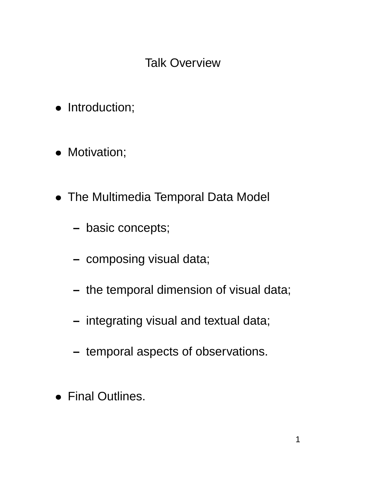## Talk Overview

- **•** Introduction;
- **•** Motivation;
- The Multimedia Temporal Data Model
	- **–** basic concepts;
	- **–** composing visual data;
	- **–** the temporal dimension of visual data;
	- **–** integrating visual and textual data;
	- **–** temporal aspects of observations.
- Final Outlines.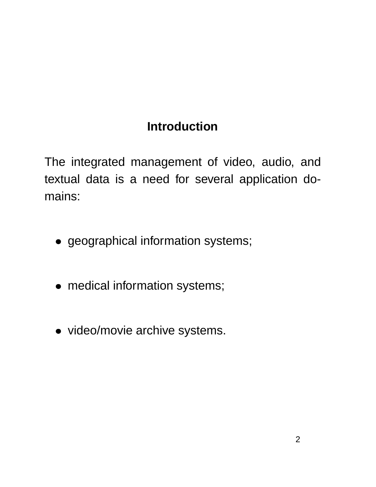# **Introduction**

The integrated management of video, audio, and textual data is a need for several application domains:

- geographical information systems;
- medical information systems;
- video/movie archive systems.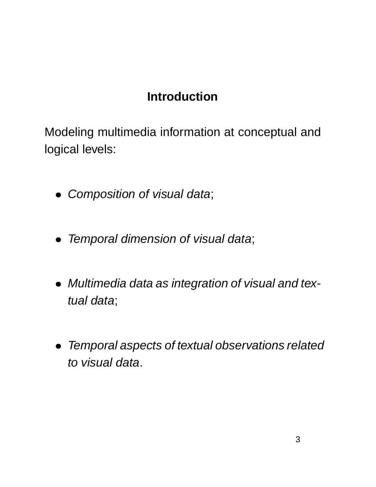## **Introduction**

Modeling multimedia information at conceptual and logical levels:

- **Composition of visual data;**
- $\bullet$ Temporal dimension of visual data;
- $\bullet$  Multimedia data as integration of visual and textual data;
- $\bullet$  Temporal aspects of textual observations related to visual data.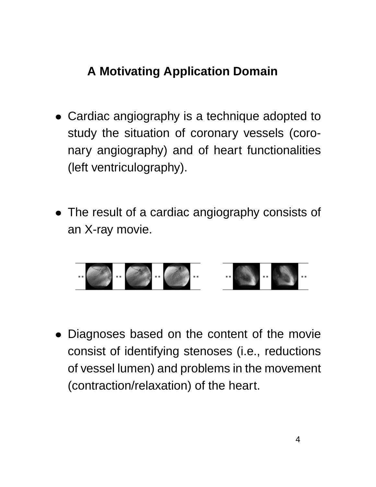# **A Motivating Application Domain**

- Cardiac angiography is a technique adopted to study the situation of coronary vessels (coronary angiography) and of heart functionalities (left ventriculography).
- The result of a cardiac angiography consists of an X-ray movie.



 Diagnoses based on the content of the movie consist of identifying stenoses (i.e., reductions of vessel lumen) and problems in the movement (contraction/relaxation) of the heart.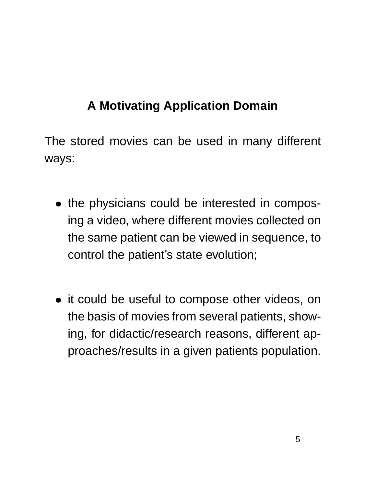# **A Motivating Application Domain**

The stored movies can be used in many different ways:

- the physicians could be interested in composing a video, where different movies collected on the same patient can be viewed in sequence, to control the patient's state evolution;
- it could be useful to compose other videos, on the basis of movies from several patients, showing, for didactic/research reasons, different approaches/results in a given patients population.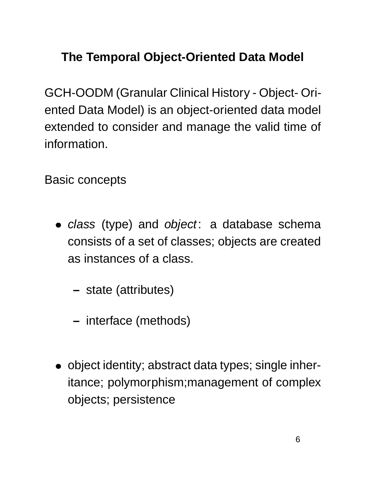# **The Temporal Object-Oriented Data Model**

GCH-OODM (Granular Clinical History - Object- Oriented Data Model) is an object-oriented data model extended to consider and manage the valid time of information.

Basic concepts

- class (type) and object: a database schema consists of a set of classes; objects are created as instances of a class.
	- **–** state (attributes)
	- **–** interface (methods)
- object identity; abstract data types; single inheritance; polymorphism;management of complex objects; persistence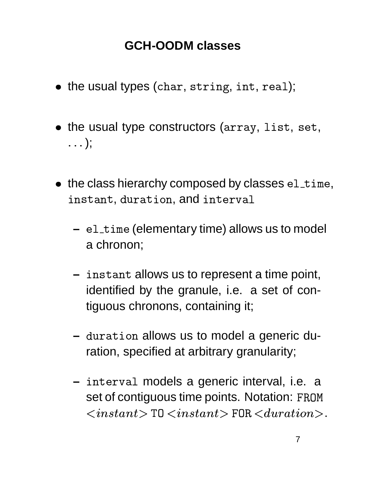## **GCH-OODM classes**

- $\bullet\,$  the usual types (char,  $\texttt{string}, \texttt{int}, \texttt{real});$
- $\bullet\,$  the usual type constructors ( $\arctan$ ,  $1$ ist,  $\texttt{set},\,$  $\ldots$  );
- $\bullet\;$  the class hierarchy composed by classes  $\verb|ell_time|,$  $\sim$  . The contract of the contract of the contract of the contract of the contract of the contract of the contract of the contract of the contract of the contract of the contract of the contract of the contract of the co stant, duration, and interva
	- $-$  <code>el\_time</code> (elementary time) allows us to model a chronon;
	- $-$  instant allows us to represent a time point, identified by the granule, i.e. a set of contiguous chronons, containing it;
	- $-$  duration allows us to model a generic duration, specified at arbitrary granularity;
	- **–** erva1 models a generic interval, i.e. a set of contiguous time points. Notation: FROM - .0/21354/6387 <sup>9</sup>  $0 < \! instant \! >$  FOR  $<\! duration \! >$ .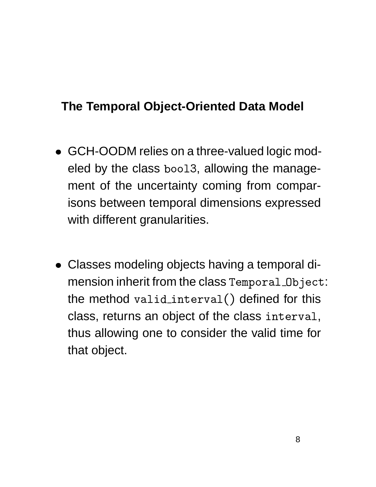## **The Temporal Object-Oriented Data Model**

- GCH-OODM relies on a three-valued logic modeled by the class boo13, allowing the management of the uncertainty coming from comparisons between temporal dimensions expressed with different granularities.
- Classes modeling objects having a temporal di- $\,$  mension inherit from the class  $\,$  <code>remporal\_Object:</code>  $\,$ the method valid\_inter interval()  $\text{\sf{erval}}()$  defined for this class, returns an object of the class interval, thus allowing one to consider the valid time for that object.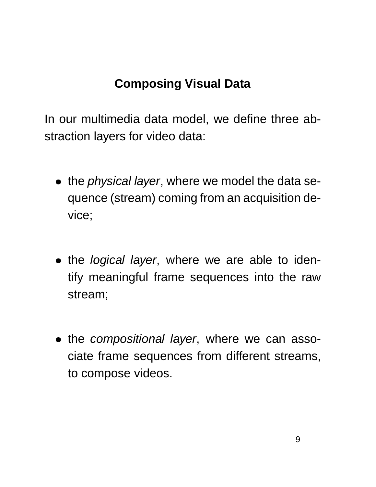In our multimedia data model, we define three abstraction layers for video data:

- the *physical layer*, where we model the data sequence (stream) coming from an acquisition device;
- the *logical layer*, where we are able to identify meaningful frame sequences into the raw stream;
- the compositional layer, where we can associate frame sequences from different streams, to compose videos.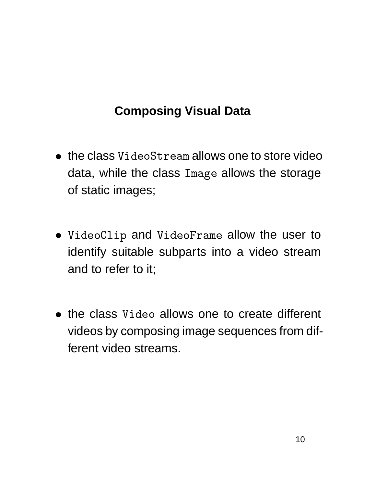- $\bullet\;$  the class <code>VideoStream</code> allows one to store video data, while the class Image allows the storage of static images;
- ''- - '' . <u>. . . . . . . .</u> . . . . . eoClip and VideoFram ----------(a) the contract of the contract of the contract of the contract of the contract of the contract of the contract of - - - - - - - - - rame allow the user to identify suitable subparts into a video stream and to refer to it;
- the class Video allov \_\_\_\_\_\_\_\_\_\_\_ eo allows one to create different videos by composing image sequences from different video streams.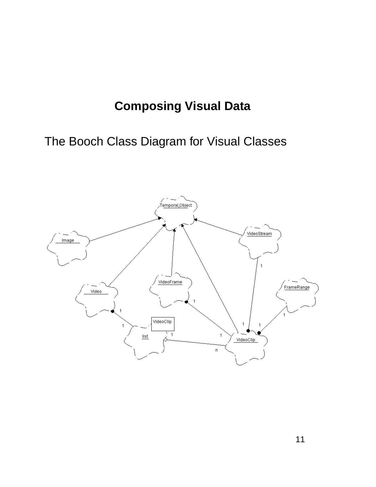## The Booch Class Diagram for Visual Classes

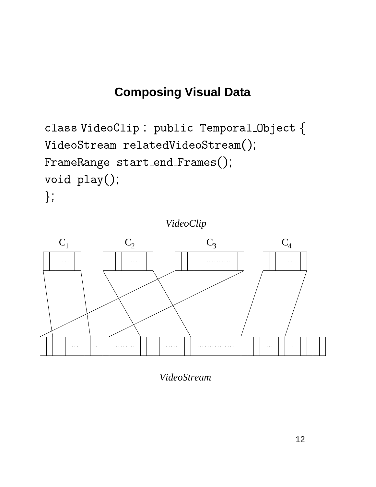```
class VideoClip : public Temporal_Object {
VideoStream relatedVideoStream();
FrameRange start_end_Frames();
void play();\};
```
VideoClip



VideoStream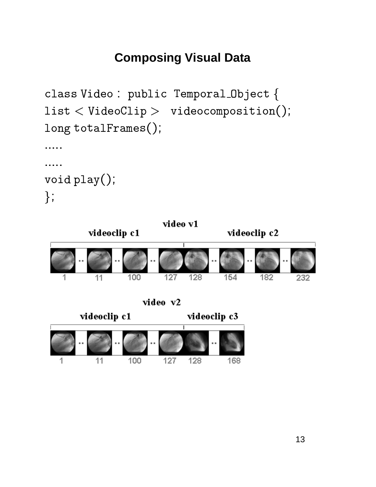```
class Video : public Temporal_Object {
list < VideoClip > videocomposition();
long totalFrames();
. . . . .
. . . . .
void play();
\};
```
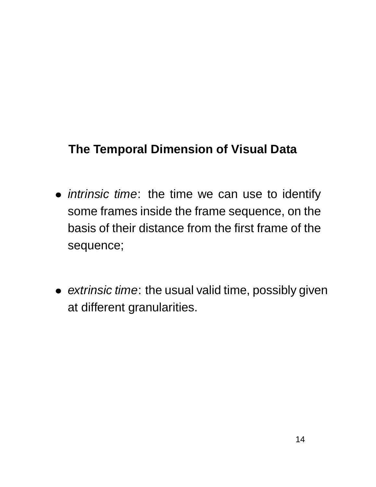- *intrinsic time*: the time we can use to identify some frames inside the frame sequence, on the basis of their distance from the first frame of the sequence;
- extrinsic time: the usual valid time, possibly given at different granularities.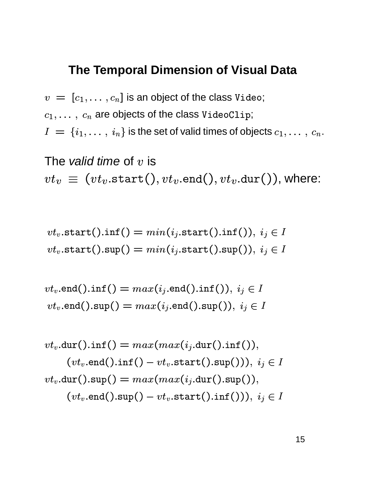$\, v \ = \ [ c_1, \ldots, c_n ] \,$  is an object of the class <code>Video;</code>  $c_1, \ldots, \ c_n$  are objects of the class <code>VideoClip</code>;  $I \ = \ \{i_1, \ldots, \ i_n\}$  is the set of valid times of objects  $c_1, \ldots, c_n.$ 

The valid time of 
$$
v
$$
 is  $vt_v \equiv (vt_v.\texttt{start}(), vt_v.\texttt{end}(), vt_v.\texttt{dur}()$ , where:

$$
vt_v.\mathtt{start().inf}() = min(i_j.\mathtt{start().inf}());\ i_j \in I\\ vt_v.\mathtt{start().sup}() = min(i_j.\mathtt{start().sup}());\ i_j \in I
$$

$$
vt_v.\texttt{end().inf()}=max(i_j.\texttt{end().inf());\,i_j\in I\\ vt_v.\texttt{end().sup()},\,i_j\in I
$$

$$
vt_v.\text{dur().inf()} = max(max(i_j.\text{dur().inf());} \\ (vt_v.\text{end().inf()} - vt_v.\text{start().sup());} \quad i_j \in I \\ vt_v.\text{dur().sup()} = max(max(i_j.\text{dur().sup());} \\ (vt_v.\text{end().sup()} - vt_v.\text{start().inf());} \quad i_j \in I
$$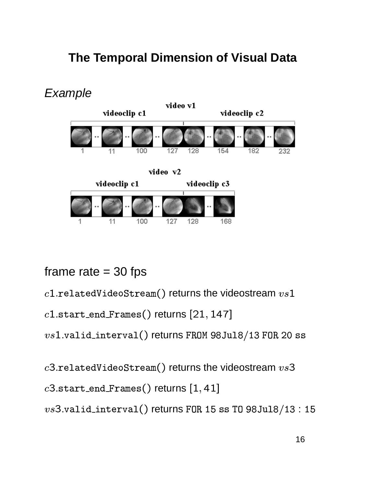

#### frame rate  $=$  30 fps

 $c1$ .relatedVideoStream() returns the videostream  $vs1$ 

 $c1$ .start\_end\_Frames() returns [21, 147]

 $vs1.valid\_interval()$  returns FROM 98Ju18/13 FOR 20 ss

 $c3.$ relatedVideoStream() returns the videostream  $vs3$ 

 $c3.\text{start}\_\text{end}\_\text{frames}()$  returns  $[1, 41]$ 

 $vs3.valid\_interval()$  returns FOR 15 ss TO 98Ju18/13 : 15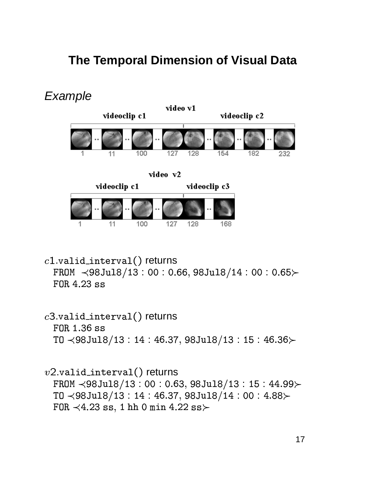

 $c1$ .valid\_interval() returns FROM  $\leq$ 98Ju18/13:00:0.66,98Ju18/14:00:0.65 $\succ$ FOR 4.23 ss

 $c3$ .valid\_interval() returns FOR 1.36 ss TO  $\leq$ 98Ju18/13:14:46.37,98Ju18/13:15:46.36 $\succ$ 

 $v2$ .valid\_interval() returns FROM  $\leq$ 98Ju18/13:00:0.63,98Ju18/13:15:44.99 $\succ$ TO  $\leq$ 98Ju18/13:14:46.37,98Ju18/14:00:4.88 $\succ$ FOR  $\prec$ 4.23 ss, 1 hh 0 min 4.22 ss $\succ$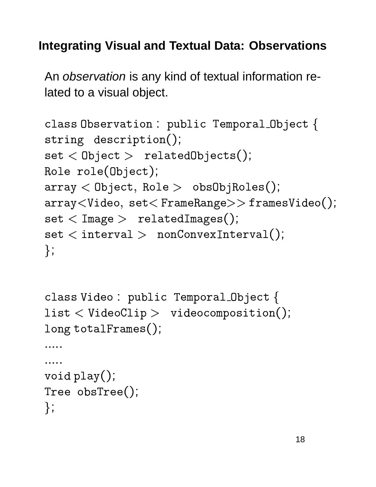## **Integrating Visual and Textual Data: Observations**

An observation is any kind of textual information related to a visual object.

```
class Observation : public Temporal_Object {
string description();
set < Object > relatedObjects();
Role role(Object);
array < Object, Role > obsObjRoles();
array<Video, set<FrameRange>>framesVideo();
set <Image > relatedImages();
set < interval > nonConvexInterval();
\};
```

```
class Video : public Temporal_Object {
list < VideoClip > videocomposition();
long totalFrames();. . . . .
. . . . .
void play();
Tree obsTree();
\};
```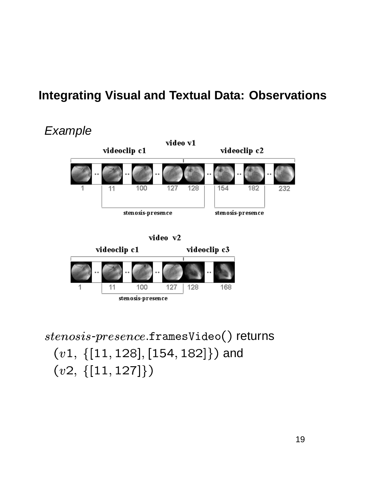## **Integrating Visual and Textual Data: Observations**



$$
video\ v2
$$



stenosis-presence.framesVideo() returns  $(v1, \{[11, 128], [154, 182]\})$  and  $(v2, \{[11, 127]\})$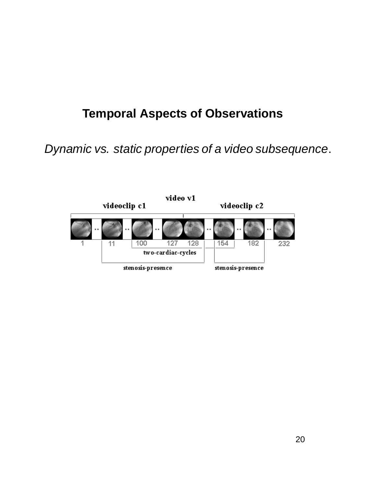Dynamic vs. static properties of a video subsequence.

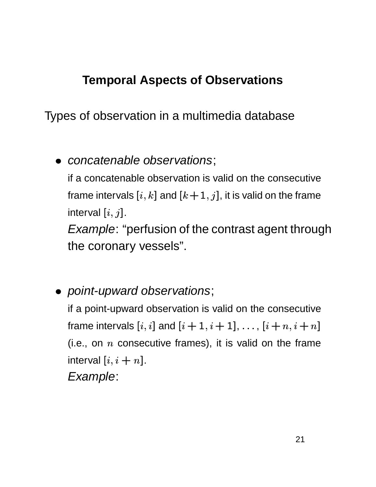Types of observation in a multimedia database

• concatenable observations;

if a concatenable observation is valid on the consecutive frame intervals  $[i, k]$  and  $[k+1, j]$ , it is valid on the frame interval  $[i, j]$ .

**Example: "perfusion of the contrast agent through** the coronary vessels".

• point-upward observations;

if a point-upward observation is valid on the consecutive frame intervals  $[i, i]$  and  $[i + 1, i + 1], \ldots, [i + n, i + n]$ (i.e., on  $n$  consecutive frames), it is valid on the frame interval  $[i, i + n]$ . Example: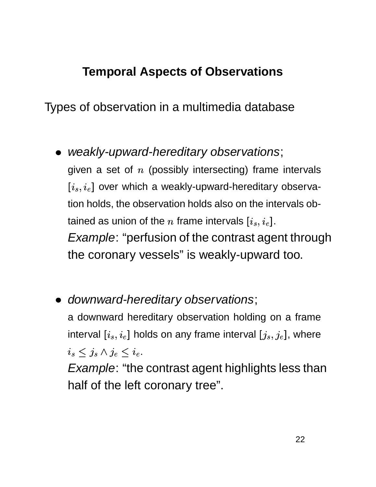Types of observation in a multimedia database

- weakly-upward-hereditary observations; given a set of  $n$  (possibly intersecting) frame intervals  $[i_s, i_e]$  over which a weakly-upward-hereditary observation holds, the observation holds also on the intervals obtained as union of the n frame intervals  $[i_s, i_e]$ . *Example:* "perfusion of the contrast agent through the coronary vessels" is weakly-upward too.
- downward-hereditary observations; a downward hereditary observation holding on a frame interval  $[i_s, i_e]$  holds on any frame interval  $[j_s, j_e]$ , where  $i_s \leq j_s \wedge j_e \leq i_e.$

*Example*: "the contrast agent highlights less than half of the left coronary tree".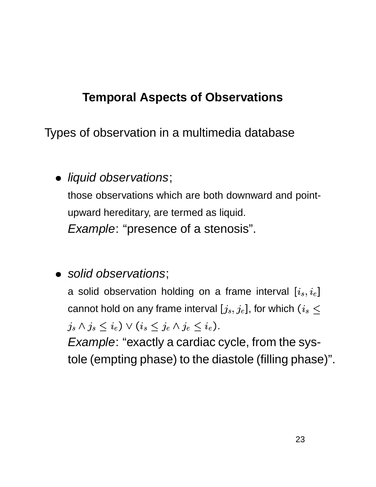Types of observation in a multimedia database

· liquid observations;

those observations which are both downward and pointupward hereditary, are termed as liquid. *Example: "presence of a stenosis".* 

· solid observations;

a solid observation holding on a frame interval  $[i_s, i_e]$ cannot hold on any frame interval  $[j_s, j_e]$ , for which  $(i_s \leq$  $j_s \wedge j_s \leq i_e$ )  $\vee (i_s \leq j_e \wedge j_e \leq i_e)$ .

*Example: "exactly a cardiac cycle, from the sys*tole (empting phase) to the diastole (filling phase)".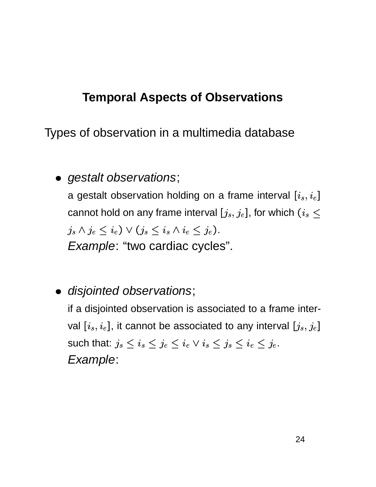Types of observation in a multimedia database

• gestalt observations;

a gestalt observation holding on a frame interval  $[i_s, i_e]$ cannot hold on any frame interval  $[j_s, j_e]$ , for which  $(i_s \leq$  $j_s \wedge j_e \leq i_e$ )  $\vee (j_s \leq i_s \wedge i_e \leq j_e)$ . Example: "two cardiac cycles".

· disjointed observations;

if a disjointed observation is associated to a frame interval  $[i_s, i_e]$ , it cannot be associated to any interval  $[j_s, j_e]$ such that:  $j_s \leq i_s \leq j_e \leq i_e \vee i_s \leq j_s \leq i_e \leq j_e$ . Example: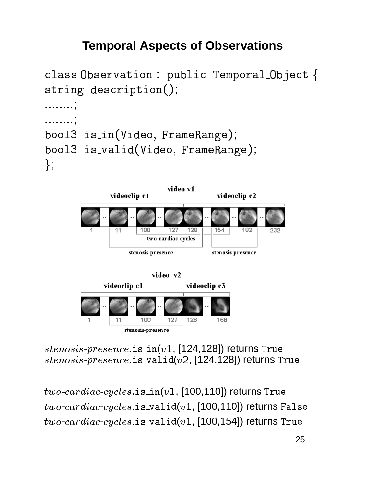```
class Observation : public Temporal_Object {
string description();. . . . . . . . ,
. . . . . . . . ;
bool3 is_in(Video, FrameRange);
bool3 is_valid(Video, FrameRange);
\};
```


100 127 stenosis-presence

11

 $stenosis\text{-}presence.\text{is}\text{-}in(v1, [124, 128])$  returns True  $stenosis\text{-}presence.is\_valid(v2, [124, 128])$  returns True

128

168

 $two\text{-}cardiac\text{-}cycles.\text{is_in}(v1, [100, 110])$  returns True  $two\text{-}cardiac\text{-}cycles.\text{is\_valid}(v1, [100, 110])$  returns False  $two\text{-}cardiac\text{-}cycles.\texttt{is\_valid}(v1, [100, 154])$  returns True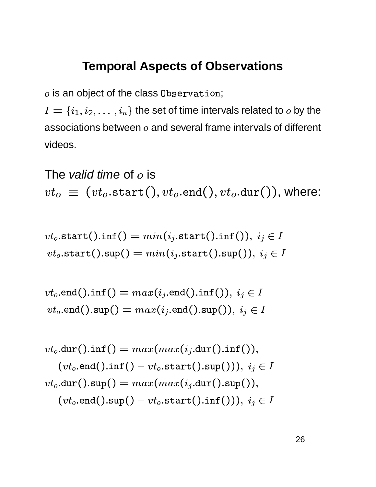$o$  is an object of the class Observation;

 $I = \{i_1, i_2, \ldots, i_n\}$  the set of time intervals related to  $o$  by the associations between  $o$  and several frame intervals of different videos.

The valid time of  $o$  is  $vt_o \equiv (vt_o.\text{start}(), vt_o.\text{end}(), vt_o.\text{dur}(),$  where:

$$
vt_o.\mathtt{start().inf()} = min(i_j.\mathtt{start().inf'})),\ i_j \in I
$$
  

$$
vt_o.\mathtt{start().sup}() = min(i_j.\mathtt{start().sup'})),\ i_j \in I
$$

$$
vt_o.\texttt{end().inf()} = max(i_j.\texttt{end().inf());} i_j \in I
$$
  

$$
vt_o.\texttt{end().sup()} = max(i_j.\texttt{end().sup());} i_j \in I
$$

$$
vt_o.\text{dur().inf()} = max(max(i_j.\text{dur().inf());})
$$

$$
(vt_o.\text{end().inf()} - vt_o.\text{start().sup());} i_j \in I
$$

$$
vt_o.\text{dur().sup()} = max(max(i_j.\text{dur().sup());})
$$

$$
(vt_o.\text{end().sup()} - vt_o.\text{start().inf());} i_j \in I
$$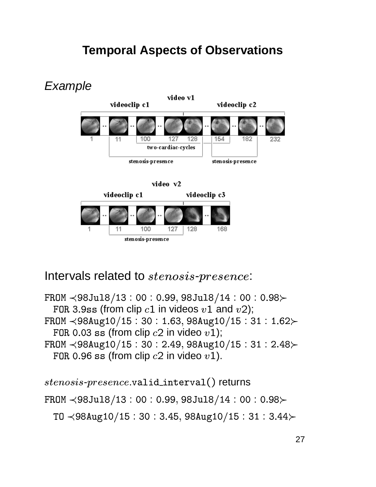

#### Intervals related to *stenosis-presence*:

FROM  $\leq$ 98Ju18/13:00:0.99,98Ju18/14:00:0.98 $\succ$ FOR 3.9ss (from clip  $c1$  in videos  $v1$  and  $v2$ ); FROM  $\leq$ 98Aug10/15:30:1.63,98Aug10/15:31:1.62 $\succ$ FOR 0.03 ss (from clip  $c2$  in video  $v1$ ); FROM  $\leq$ 98Aug10/15:30:2.49,98Aug10/15:31:2.48 $\succ$ FOR 0.96 ss (from clip  $c2$  in video  $v1$ ).

```
stenosis-presence.valid_interval() returns
FROM \leq98Ju18/13:00:0.99,98Ju18/14:00:0.98\succTO \leq98Aug10/15:30:3.45,98Aug10/15:31:3.44\succ
```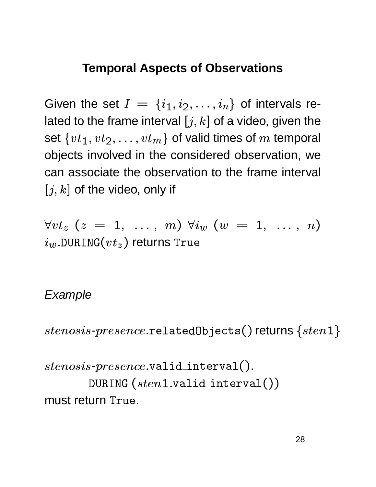Given the set  $I = \{i_1, i_2, \ldots, i_n\}$  of intervals related to the frame interval  $[j, k]$  of a video, given the set  $\{vt_1, vt_2, \ldots, vt_m\}$  of valid times of m temporal objects involved in the considered observation, we can associate the observation to the frame interval  $[j, k]$  of the video, only if

 $\forall vt_z \ (z = 1, \ldots, m) \ \forall i_w \ (w = 1, \ldots, n)$  $i_w$ .DURING $(vt_z)$  returns True

#### Example

 $stenos is-presence. \texttt{relatedObjects}() \texttt{returns} \{sten1\}$ 

 $stenosis-precence.$ valid\_interval(). DURING  $(\mathit{sten1}.\mathtt{valid}.\mathtt{interval}())$ must return True.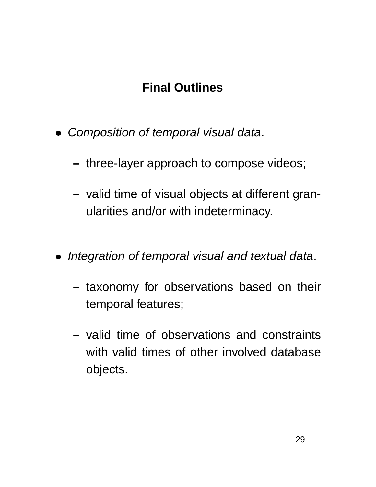## **Final Outlines**

- Composition of temporal visual data.
	- **–** three-layer approach to compose videos;
	- **–** valid time of visual objects at different granularities and/or with indeterminacy.
- Integration of temporal visual and textual data.
	- **–** taxonomy for observations based on their temporal features;
	- **–** valid time of observations and constraints with valid times of other involved database objects.